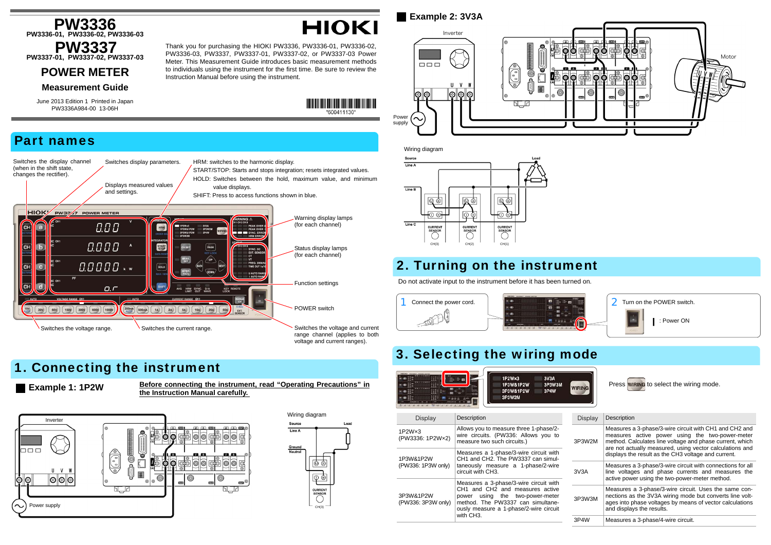voltage and current ranges).



# 1. Connecting the instrument

**Example 1: 1P2W Before connecting the instrument, read "Operating Precautions" in** the Instruction Manual carefully.







#### Do not activate input to the instrument before it has been turned on. 2 Turn on the POWER switch. : Power ON 3. Selecting the wiring mode  $1P2W \times 3$ 3V3A Press wiring to select the wiring mode. 1P3W&1P2W **3P3W3M WIRING** 3P3W&1P2W 3P4W 3P3W2M Display Description Display Description Allows you to measure three 1-phase/2- Measures a 3-phase/3-wire circuit with CH1 and CH2 and wire circuits. (PW336: Allows you to measures active power using the two-power-meter measure two such circuits.) 3P3W2Mmethod. Calculates line voltage and phase current, which are not actually measured, using vector calculations and Measures a 1-phase/3-wire circuit with displays the result as the CH3 voltage and current. CH1 and CH2. The PW3337 can simultaneously measure a 1-phase/2-wire Measures a 3-phase/3-wire circuit with connections for all circuit with CH3.3V3Aline voltages and phase currents and measures the active power using the two-power-meter method.

| Display                                                                                                                                                                              | Description                                                                                                   |  | Display                                                                                                         | Description                                                                                                                                                                                                |  |  |
|--------------------------------------------------------------------------------------------------------------------------------------------------------------------------------------|---------------------------------------------------------------------------------------------------------------|--|-----------------------------------------------------------------------------------------------------------------|------------------------------------------------------------------------------------------------------------------------------------------------------------------------------------------------------------|--|--|
| $1P2W \times 3$<br>(PW3336: 1P2Wx2)                                                                                                                                                  | Allows you to measure three 1-phase/2-<br>wire circuits. (PW336: Allows you to<br>measure two such circuits.) |  | 3P3W2M                                                                                                          | Measures a 3-phase/3-wire circuit with CH1 and CH2 and<br>measures active power using the two-power-meter<br>method. Calculates line voltage and phase current, which                                      |  |  |
| Measures a 1-phase/3-wire circuit with<br>CH1 and CH2. The PW3337 can simul-<br>1P3W&1P2W                                                                                            |                                                                                                               |  | are not actually measured, using vector calculations and<br>displays the result as the CH3 voltage and current. |                                                                                                                                                                                                            |  |  |
| (PW336: 1P3W only)<br>taneously measure a 1-phase/2-wire<br>circuit with CH3.                                                                                                        |                                                                                                               |  | 3V <sub>3</sub> A                                                                                               | Measures a 3-phase/3-wire circuit with connections for all<br>line voltages and phase currents and measures the<br>active power using the two-power-meter method.                                          |  |  |
|                                                                                                                                                                                      | Measures a 3-phase/3-wire circuit with                                                                        |  |                                                                                                                 |                                                                                                                                                                                                            |  |  |
| CH1 and CH2 and measures active<br>3P3W&1P2W<br>power using the two-power-meter<br>method. The PW3337 can simultane-<br>(PW336: 3P3W only)<br>ously measure a 1-phase/2-wire circuit |                                                                                                               |  | 3P3W3M                                                                                                          | Measures a 3-phase/3-wire circuit. Uses the same con-<br>nections as the 3V3A wiring mode but converts line volt-<br>ages into phase voltages by means of vector calculations<br>and displays the results. |  |  |
|                                                                                                                                                                                      | with CH <sub>3</sub> .                                                                                        |  | 3P4W                                                                                                            | Measures a 3-phase/4-wire circuit.                                                                                                                                                                         |  |  |

### 3P4W Measures a 3-phase/4-wire circuit.